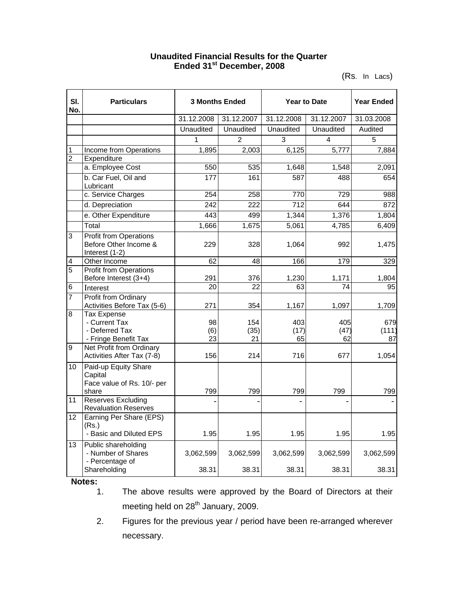## **Unaudited Financial Results for the Quarter Ended 31st December, 2008**

(Rs. In Lacs)

| SI.<br>No.     | <b>Particulars</b>                                                            | <b>3 Months Ended</b> |                   | <b>Year to Date</b> |                   | <b>Year Ended</b>  |
|----------------|-------------------------------------------------------------------------------|-----------------------|-------------------|---------------------|-------------------|--------------------|
|                |                                                                               | 31.12.2008            | 31.12.2007        | 31.12.2008          | 31.12.2007        | 31.03.2008         |
|                |                                                                               | Unaudited             | Unaudited         | Unaudited           | Unaudited         | Audited            |
|                |                                                                               | 1                     | $\overline{2}$    | 3                   | 4                 | 5                  |
| 1              | Income from Operations                                                        | 1,895                 | 2,003             | 6,125               | 5,777             | 7,884              |
| $\overline{2}$ | Expenditure                                                                   |                       |                   |                     |                   |                    |
|                | a. Employee Cost                                                              | 550                   | 535               | 1,648               | 1,548             | 2,091              |
|                | b. Car Fuel, Oil and<br>Lubricant                                             | 177                   | 161               | 587                 | 488               | 654                |
|                | c. Service Charges                                                            | 254                   | 258               | 770                 | 729               | 988                |
|                | d. Depreciation                                                               | 242                   | 222               | 712                 | 644               | 872                |
|                | e. Other Expenditure                                                          | 443                   | 499               | 1,344               | 1,376             | 1,804              |
|                | Total                                                                         | 1,666                 | 1,675             | 5,061               | 4,785             | 6,409              |
| 3              | <b>Profit from Operations</b><br>Before Other Income &<br>Interest (1-2)      | 229                   | 328               | 1,064               | 992               | 1,475              |
| 4              | Other Income                                                                  | 62                    | 48                | 166                 | 179               | 329                |
| 5              | <b>Profit from Operations</b><br>Before Interest (3+4)                        | 291                   | 376               | 1,230               | 1,171             | 1,804              |
| 6              | Interest                                                                      | 20                    | 22                | 63                  | 74                | 95                 |
| $\overline{7}$ | <b>Profit from Ordinary</b><br>Activities Before Tax (5-6)                    | 271                   | 354               | 1,167               | 1,097             | 1,709              |
| $\overline{8}$ | <b>Tax Expense</b><br>- Current Tax<br>- Deferred Tax<br>- Fringe Benefit Tax | 98<br>(6)<br>23       | 154<br>(35)<br>21 | 403<br>(17)<br>65   | 405<br>(47)<br>62 | 679<br>(111)<br>87 |
| $\overline{9}$ | Net Profit from Ordinary<br>Activities After Tax (7-8)                        | 156                   | 214               | 716                 | 677               | 1,054              |
| 10             | Paid-up Equity Share<br>Capital<br>Face value of Rs. 10/- per<br>share        | 799                   | 799               | 799                 | 799               | 799                |
| 11             | <b>Reserves Excluding</b><br><b>Revaluation Reserves</b>                      |                       |                   |                     |                   |                    |
| 12             | Earning Per Share (EPS)<br>(Rs.)<br>- Basic and Diluted EPS                   | 1.95                  | 1.95              | 1.95                | 1.95              | 1.95               |
| 13             | Public shareholding<br>- Number of Shares<br>- Percentage of                  | 3,062,599             | 3,062,599         | 3,062,599           | 3,062,599         | 3,062,599          |
|                | Shareholding                                                                  | 38.31                 | 38.31             | 38.31               | 38.31             | 38.31              |

**Notes:**

The above results were approved by the Board of Directors at their meeting held on 28<sup>th</sup> January, 2009.

2. Figures for the previous year / period have been re-arranged wherever necessary.